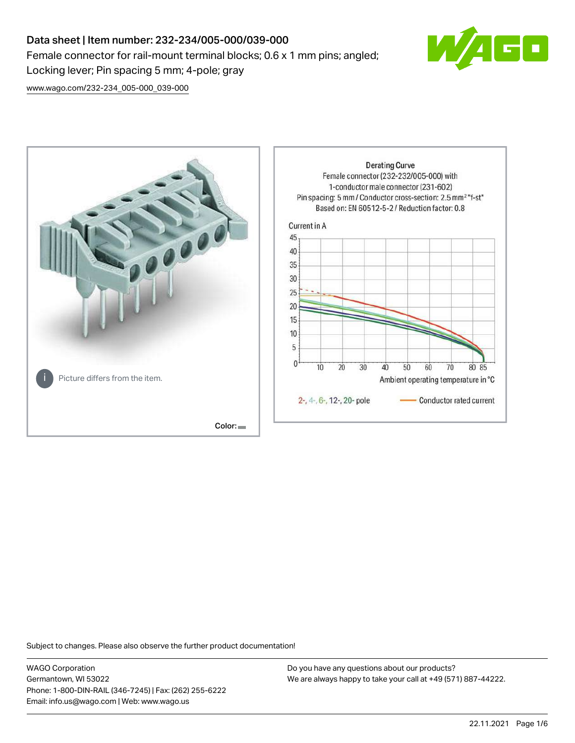# Data sheet | Item number: 232-234/005-000/039-000 Female connector for rail-mount terminal blocks; 0.6 x 1 mm pins; angled; Locking lever; Pin spacing 5 mm; 4-pole; gray



[www.wago.com/232-234\\_005-000\\_039-000](http://www.wago.com/232-234_005-000_039-000)



Subject to changes. Please also observe the further product documentation!

WAGO Corporation Germantown, WI 53022 Phone: 1-800-DIN-RAIL (346-7245) | Fax: (262) 255-6222 Email: info.us@wago.com | Web: www.wago.us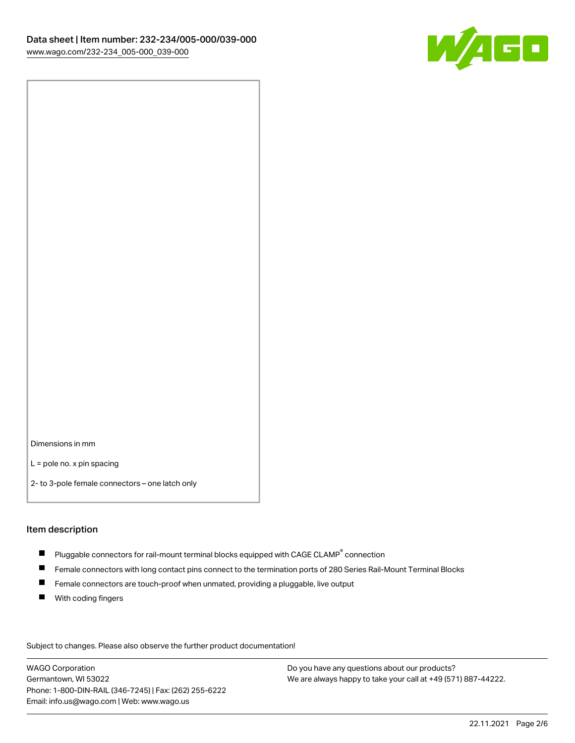

Dimensions in mm

L = pole no. x pin spacing

2- to 3-pole female connectors – one latch only

#### Item description

- $\blacksquare$  Pluggable connectors for rail-mount terminal blocks equipped with CAGE CLAMP $^\circ$  connection
- Female connectors with long contact pins connect to the termination ports of 280 Series Rail-Mount Terminal Blocks
- $\blacksquare$ Female connectors are touch-proof when unmated, providing a pluggable, live output
- $\blacksquare$ With coding fingers

Subject to changes. Please also observe the further product documentation! Data

WAGO Corporation Germantown, WI 53022 Phone: 1-800-DIN-RAIL (346-7245) | Fax: (262) 255-6222 Email: info.us@wago.com | Web: www.wago.us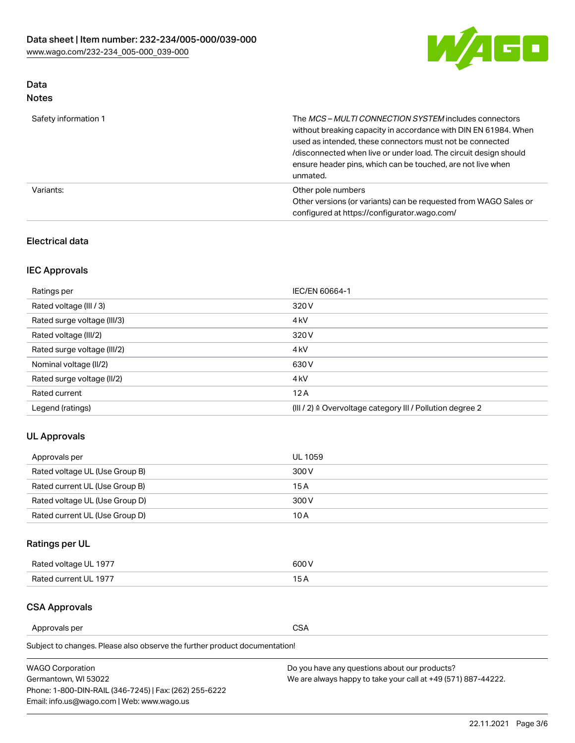

# Data

| Safety information 1 | The MCS-MULTI CONNECTION SYSTEM includes connectors<br>without breaking capacity in accordance with DIN EN 61984. When<br>used as intended, these connectors must not be connected<br>/disconnected when live or under load. The circuit design should<br>ensure header pins, which can be touched, are not live when<br>unmated. |
|----------------------|-----------------------------------------------------------------------------------------------------------------------------------------------------------------------------------------------------------------------------------------------------------------------------------------------------------------------------------|
| Variants:            | Other pole numbers<br>Other versions (or variants) can be requested from WAGO Sales or<br>configured at https://configurator.wago.com/                                                                                                                                                                                            |

## Electrical data

# IEC Approvals

| Ratings per                 | IEC/EN 60664-1                                                        |
|-----------------------------|-----------------------------------------------------------------------|
| Rated voltage (III / 3)     | 320 V                                                                 |
| Rated surge voltage (III/3) | 4 <sub>kV</sub>                                                       |
| Rated voltage (III/2)       | 320 V                                                                 |
| Rated surge voltage (III/2) | 4 <sub>kV</sub>                                                       |
| Nominal voltage (II/2)      | 630 V                                                                 |
| Rated surge voltage (II/2)  | 4 <sub>k</sub> V                                                      |
| Rated current               | 12A                                                                   |
| Legend (ratings)            | $(III / 2)$ $\triangle$ Overvoltage category III / Pollution degree 2 |

## UL Approvals

| Approvals per                  | UL 1059 |
|--------------------------------|---------|
| Rated voltage UL (Use Group B) | 300 V   |
| Rated current UL (Use Group B) | 15 A    |
| Rated voltage UL (Use Group D) | 300 V   |
| Rated current UL (Use Group D) | 10 A    |

# Ratings per UL

| Rated voltage UL 1977 | 300 V |
|-----------------------|-------|
| Rated current UL 1977 |       |

## CSA Approvals

Approvals per CSA

Subject to changes. Please also observe the further product documentation!

| <b>WAGO Corporation</b>                                | Do you have any questions about our products?                 |
|--------------------------------------------------------|---------------------------------------------------------------|
| Germantown, WI 53022                                   | We are always happy to take your call at +49 (571) 887-44222. |
| Phone: 1-800-DIN-RAIL (346-7245)   Fax: (262) 255-6222 |                                                               |
| Email: info.us@wago.com   Web: www.wago.us             |                                                               |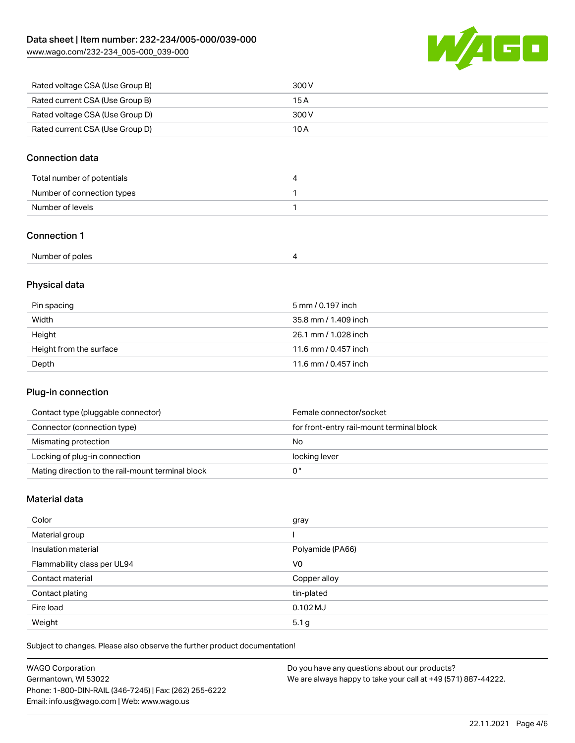[www.wago.com/232-234\\_005-000\\_039-000](http://www.wago.com/232-234_005-000_039-000)



| Rated voltage CSA (Use Group B) | 300 V |
|---------------------------------|-------|
| Rated current CSA (Use Group B) | 15 A  |
| Rated voltage CSA (Use Group D) | 300 V |
| Rated current CSA (Use Group D) | 10 A  |

## Connection data

| Total number of potentials |  |
|----------------------------|--|
| Number of connection types |  |
| Number of levels           |  |

## Connection 1

| Number of poles |  |
|-----------------|--|
|-----------------|--|

# Physical data

| Pin spacing             | 5 mm / 0.197 inch    |
|-------------------------|----------------------|
| Width                   | 35.8 mm / 1.409 inch |
| Height                  | 26.1 mm / 1.028 inch |
| Height from the surface | 11.6 mm / 0.457 inch |
| Depth                   | 11.6 mm / 0.457 inch |

### Plug-in connection

| Contact type (pluggable connector)                | Female connector/socket                   |
|---------------------------------------------------|-------------------------------------------|
| Connector (connection type)                       | for front-entry rail-mount terminal block |
| Mismating protection                              | No                                        |
| Locking of plug-in connection                     | locking lever                             |
| Mating direction to the rail-mount terminal block |                                           |

# Material data

| Color                       | gray             |
|-----------------------------|------------------|
| Material group              |                  |
| Insulation material         | Polyamide (PA66) |
| Flammability class per UL94 | V <sub>0</sub>   |
| Contact material            | Copper alloy     |
| Contact plating             | tin-plated       |
| Fire load                   | $0.102$ MJ       |
| Weight                      | 5.1 <sub>g</sub> |

Subject to changes. Please also observe the further product documentation!

| <b>WAGO Corporation</b>                                | Do you have any questions about our products?                 |
|--------------------------------------------------------|---------------------------------------------------------------|
| Germantown, WI 53022                                   | We are always happy to take your call at +49 (571) 887-44222. |
| Phone: 1-800-DIN-RAIL (346-7245)   Fax: (262) 255-6222 |                                                               |
| Email: info.us@wago.com   Web: www.wago.us             |                                                               |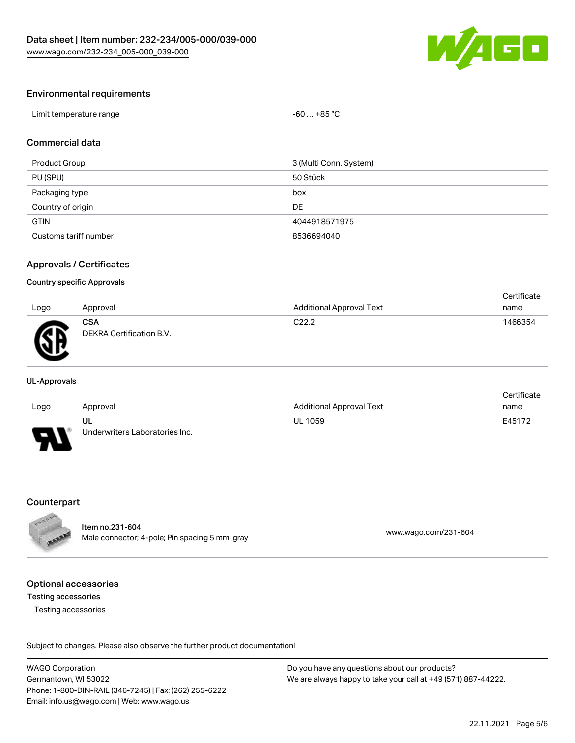

#### Environmental requirements

| Limit temperature range | $$ +85 °C<br>-60 |  |
|-------------------------|------------------|--|
|-------------------------|------------------|--|

#### Commercial data

| Product Group         | 3 (Multi Conn. System) |
|-----------------------|------------------------|
| PU (SPU)              | 50 Stück               |
| Packaging type        | box                    |
| Country of origin     | DE                     |
| <b>GTIN</b>           | 4044918571975          |
| Customs tariff number | 8536694040             |

#### Approvals / Certificates

#### Country specific Approvals

|      |                                        |                                 | Certificate |
|------|----------------------------------------|---------------------------------|-------------|
| Logo | Approval                               | <b>Additional Approval Text</b> | name        |
| Ж    | <b>CSA</b><br>DEKRA Certification B.V. | C <sub>22.2</sub>               | 1466354     |
|      |                                        |                                 |             |

#### UL-Approvals

|        |                                |                                 | Certificate |
|--------|--------------------------------|---------------------------------|-------------|
| Logo   | Approval                       | <b>Additional Approval Text</b> | name        |
|        | ul                             | <b>UL 1059</b>                  | E45172      |
| $\Box$ | Underwriters Laboratories Inc. |                                 |             |

#### Counterpart



Item no.231-604

Nell 110.251-004<br>Male connector; 4-pole; Pin spacing 5 mm; gray [www.wago.com/231-604](https://www.wago.com/231-604)

#### Optional accessories

#### Testing accessories

Testing accessories

Subject to changes. Please also observe the further product documentation!

WAGO Corporation Germantown, WI 53022 Phone: 1-800-DIN-RAIL (346-7245) | Fax: (262) 255-6222 Email: info.us@wago.com | Web: www.wago.us